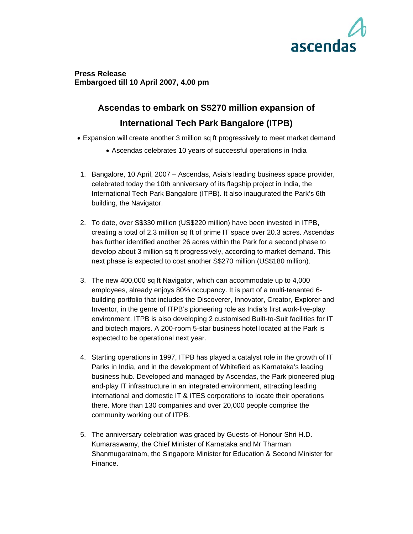

# **Press Release Embargoed till 10 April 2007, 4.00 pm**

# **Ascendas to embark on S\$270 million expansion of International Tech Park Bangalore (ITPB)**

- Expansion will create another 3 million sq ft progressively to meet market demand
	- Ascendas celebrates 10 years of successful operations in India
- 1. Bangalore, 10 April, 2007 Ascendas, Asia's leading business space provider, celebrated today the 10th anniversary of its flagship project in India, the International Tech Park Bangalore (ITPB). It also inaugurated the Park's 6th building, the Navigator.
- 2. To date, over S\$330 million (US\$220 million) have been invested in ITPB, creating a total of 2.3 million sq ft of prime IT space over 20.3 acres. Ascendas has further identified another 26 acres within the Park for a second phase to develop about 3 million sq ft progressively, according to market demand. This next phase is expected to cost another S\$270 million (US\$180 million).
- 3. The new 400,000 sq ft Navigator, which can accommodate up to 4,000 employees, already enjoys 80% occupancy. It is part of a multi-tenanted 6 building portfolio that includes the Discoverer, Innovator, Creator, Explorer and Inventor, in the genre of ITPB's pioneering role as India's first work-live-play environment. ITPB is also developing 2 customised Built-to-Suit facilities for IT and biotech majors. A 200-room 5-star business hotel located at the Park is expected to be operational next year.
- 4. Starting operations in 1997, ITPB has played a catalyst role in the growth of IT Parks in India, and in the development of Whitefield as Karnataka's leading business hub. Developed and managed by Ascendas, the Park pioneered plugand-play IT infrastructure in an integrated environment, attracting leading international and domestic IT & ITES corporations to locate their operations there. More than 130 companies and over 20,000 people comprise the community working out of ITPB.
- 5. The anniversary celebration was graced by Guests-of-Honour Shri H.D. Kumaraswamy, the Chief Minister of Karnataka and Mr Tharman Shanmugaratnam, the Singapore Minister for Education & Second Minister for Finance.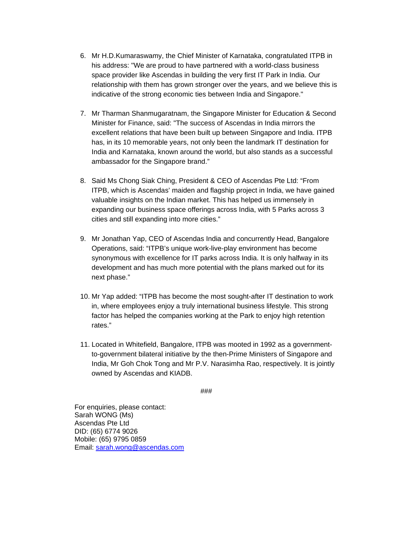- 6. Mr H.D.Kumaraswamy, the Chief Minister of Karnataka, congratulated ITPB in his address: "We are proud to have partnered with a world-class business space provider like Ascendas in building the very first IT Park in India. Our relationship with them has grown stronger over the years, and we believe this is indicative of the strong economic ties between India and Singapore."
- 7. Mr Tharman Shanmugaratnam, the Singapore Minister for Education & Second Minister for Finance, said: "The success of Ascendas in India mirrors the excellent relations that have been built up between Singapore and India. ITPB has, in its 10 memorable years, not only been the landmark IT destination for India and Karnataka, known around the world, but also stands as a successful ambassador for the Singapore brand."
- 8. Said Ms Chong Siak Ching, President & CEO of Ascendas Pte Ltd: "From ITPB, which is Ascendas' maiden and flagship project in India, we have gained valuable insights on the Indian market. This has helped us immensely in expanding our business space offerings across India, with 5 Parks across 3 cities and still expanding into more cities."
- 9. Mr Jonathan Yap, CEO of Ascendas India and concurrently Head, Bangalore Operations, said: "ITPB's unique work-live-play environment has become synonymous with excellence for IT parks across India. It is only halfway in its development and has much more potential with the plans marked out for its next phase."
- 10. Mr Yap added: "ITPB has become the most sought-after IT destination to work in, where employees enjoy a truly international business lifestyle. This strong factor has helped the companies working at the Park to enjoy high retention rates."
- 11. Located in Whitefield, Bangalore, ITPB was mooted in 1992 as a governmentto-government bilateral initiative by the then-Prime Ministers of Singapore and India, Mr Goh Chok Tong and Mr P.V. Narasimha Rao, respectively. It is jointly owned by Ascendas and KIADB.

###

For enquiries, please contact: Sarah WONG (Ms) Ascendas Pte Ltd DID: (65) 6774 9026 Mobile: (65) 9795 0859 Email: sarah.wong@ascendas.com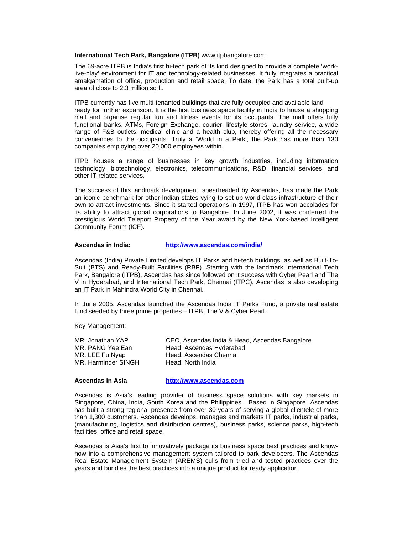#### **International Tech Park, Bangalore (ITPB)** www.itpbangalore.com

The 69-acre ITPB is India's first hi-tech park of its kind designed to provide a complete 'worklive-play' environment for IT and technology-related businesses. It fully integrates a practical amalgamation of office, production and retail space. To date, the Park has a total built-up area of close to 2.3 million sq ft.

ITPB currently has five multi-tenanted buildings that are fully occupied and available land ready for further expansion. It is the first business space facility in India to house a shopping mall and organise regular fun and fitness events for its occupants. The mall offers fully functional banks, ATMs, Foreign Exchange, courier, lifestyle stores, laundry service, a wide range of F&B outlets, medical clinic and a health club, thereby offering all the necessary conveniences to the occupants. Truly a 'World in a Park', the Park has more than 130 companies employing over 20,000 employees within.

ITPB houses a range of businesses in key growth industries, including information technology, biotechnology, electronics, telecommunications, R&D, financial services, and other IT-related services.

The success of this landmark development, spearheaded by Ascendas, has made the Park an iconic benchmark for other Indian states vying to set up world-class infrastructure of their own to attract investments. Since it started operations in 1997, ITPB has won accolades for its ability to attract global corporations to Bangalore. In June 2002, it was conferred the prestigious World Teleport Property of the Year award by the New York-based Intelligent Community Forum (ICF).

## **Ascendas in India: http://www.ascendas.com/india/**

Ascendas (India) Private Limited develops IT Parks and hi-tech buildings, as well as Built-To-Suit (BTS) and Ready-Built Facilities (RBF). Starting with the landmark International Tech Park, Bangalore (ITPB), Ascendas has since followed on it success with Cyber Pearl and The V in Hyderabad, and International Tech Park, Chennai (ITPC). Ascendas is also developing an IT Park in Mahindra World City in Chennai.

In June 2005, Ascendas launched the Ascendas India IT Parks Fund, a private real estate fund seeded by three prime properties – ITPB, The V & Cyber Pearl.

Key Management:

| MR. Jonathan YAP    | CEO, Ascendas India & Head, Ascendas Bangalore |
|---------------------|------------------------------------------------|
| MR. PANG Yee Ean    | Head, Ascendas Hyderabad                       |
| MR. LEE Fu Nyap     | Head, Ascendas Chennai                         |
| MR. Harminder SINGH | Head. North India                              |

**Ascendas in Asia http://www.ascendas.com** 

Ascendas is Asia's leading provider of business space solutions with key markets in Singapore, China, India, South Korea and the Philippines. Based in Singapore, Ascendas has built a strong regional presence from over 30 years of serving a global clientele of more than 1,300 customers. Ascendas develops, manages and markets IT parks, industrial parks, (manufacturing, logistics and distribution centres), business parks, science parks, high-tech facilities, office and retail space.

Ascendas is Asia's first to innovatively package its business space best practices and knowhow into a comprehensive management system tailored to park developers. The Ascendas Real Estate Management System (AREMS) culls from tried and tested practices over the years and bundles the best practices into a unique product for ready application.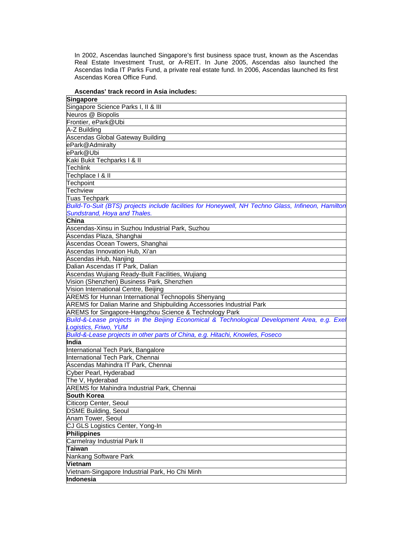In 2002, Ascendas launched Singapore's first business space trust, known as the Ascendas Real Estate Investment Trust, or A-REIT. In June 2005, Ascendas also launched the Ascendas India IT Parks Fund, a private real estate fund. In 2006, Ascendas launched its first Ascendas Korea Office Fund.

### **Ascendas' track record in Asia includes:**

| Singapore                                                                                          |  |
|----------------------------------------------------------------------------------------------------|--|
| Singapore Science Parks I, II & III                                                                |  |
| Neuros @ Biopolis                                                                                  |  |
| Frontier, ePark@Ubi                                                                                |  |
| A-Z Building                                                                                       |  |
| Ascendas Global Gateway Building                                                                   |  |
| ePark@Admiralty                                                                                    |  |
| ePark@Ubi                                                                                          |  |
| Kaki Bukit Techparks   & II                                                                        |  |
| lTechlink                                                                                          |  |
| Techplace   & II                                                                                   |  |
| Techpoint                                                                                          |  |
| <b>Techview</b>                                                                                    |  |
| Tuas Techpark                                                                                      |  |
| Build-To-Suit (BTS) projects include facilities for Honeywell, NH Techno Glass, Infineon, Hamilton |  |
| Sundstrand, Hoya and Thales.                                                                       |  |
| China                                                                                              |  |
| Ascendas-Xinsu in Suzhou Industrial Park, Suzhou                                                   |  |
| Ascendas Plaza, Shanghai                                                                           |  |
| Ascendas Ocean Towers, Shanghai                                                                    |  |
| Ascendas Innovation Hub, Xi'an                                                                     |  |
| Ascendas iHub, Nanjing                                                                             |  |
| Dalian Ascendas IT Park, Dalian                                                                    |  |
| Ascendas Wujiang Ready-Built Facilities, Wujiang                                                   |  |
| Vision (Shenzhen) Business Park, Shenzhen                                                          |  |
| Vision International Centre, Beijing                                                               |  |
| <b>AREMS</b> for Hunnan International Technopolis Shenyang                                         |  |
| AREMS for Dalian Marine and Shipbuilding Accessories Industrial Park                               |  |
| AREMS for Singapore-Hangzhou Science & Technology Park                                             |  |
| Build-&-Lease projects in the Beijing Economical & Technological Development Area, e.g. Exel       |  |
| Logistics, Friwo, YUM                                                                              |  |
| Build-&-Lease projects in other parts of China, e.g. Hitachi, Knowles, Foseco                      |  |
| India                                                                                              |  |
| International Tech Park, Bangalore                                                                 |  |
| International Tech Park, Chennai                                                                   |  |
| Ascendas Mahindra IT Park, Chennai                                                                 |  |
| Cyber Pearl, Hyderabad                                                                             |  |
| The V, Hyderabad                                                                                   |  |
| <b>AREMS for Mahindra Industrial Park, Chennai</b>                                                 |  |
| <b>South Korea</b>                                                                                 |  |
|                                                                                                    |  |
| Citicorp Center, Seoul<br><b>DSME Building, Seoul</b>                                              |  |
|                                                                                                    |  |
| Anam Tower, Seoul                                                                                  |  |
| CJ GLS Logistics Center, Yong-In                                                                   |  |
| Philippines                                                                                        |  |
| Carmelray Industrial Park II                                                                       |  |
| <b>Taiwan</b>                                                                                      |  |
| Nankang Software Park                                                                              |  |
| Vietnam                                                                                            |  |
| Vietnam-Singapore Industrial Park, Ho Chi Minh                                                     |  |
| Indonesia                                                                                          |  |